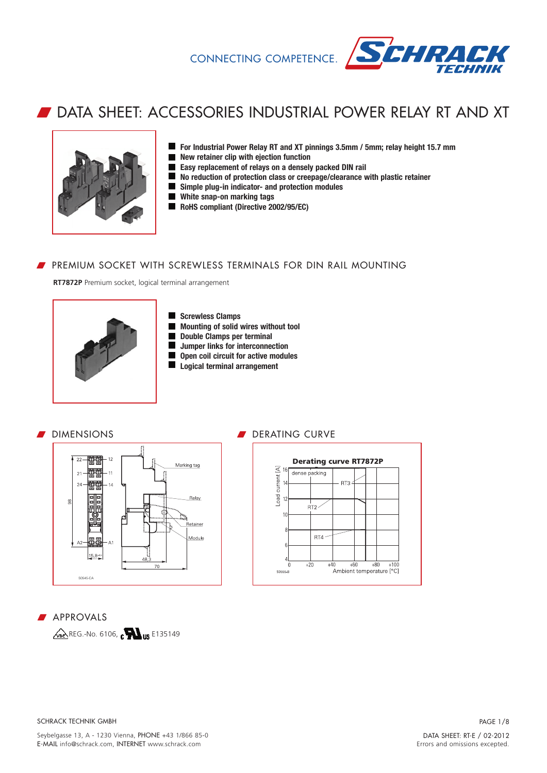

# w DATA SHEET: ACCESSORIES INDUSTRIAL POWER RELAY RT AND XT



- **For Industrial Power Relay RT and XT pinnings 3.5mm / 5mm; relay height 15.7 mm**
- **New retainer clip with ejection function**
- **Easy replacement of relays on a densely packed DIN rail**
- **No reduction of protection class or creepage/clearance with plastic retainer**
- $\blacksquare$ **Simple plug-in indicator- and protection modules**
- **White snap-on marking tags**
- **RoHS compliant (Directive 2002/95/EC)**

# **PREMIUM SOCKET WITH SCREWLESS TERMINALS FOR DIN RAIL MOUNTING**

**RT7872P** Premium socket, logical terminal arrangement



- **Screwless Clamps**  $\blacksquare$
- **Mounting of solid wires without tool**  $\blacksquare$
- **Double Clamps per terminal**  $\blacksquare$
- **Jumper links for interconnection**  $\blacksquare$
- **Open coil circuit for active modules**  $\blacksquare$
- **Logical terminal arrangement**

# **DIMENSIONS**



#### DERATING CURVE **Derating curve RT7872P**  $\overline{4}$  16 dense packing current **RTS** oad  $RT2$  $10$  $RT4$  $\sqrt{ }$  $+20$  $+40$  $+60$  $+80$ .<br>Corre D Ambient temperature [°C]

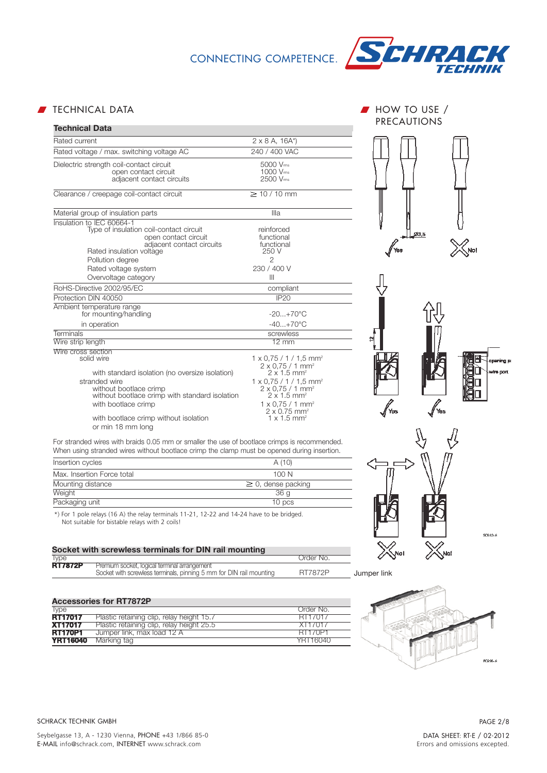

■ TECHNICAL DATA W HOW TO USE /

| <b>Technical Data</b>                                                                                                                                                                                                                            |                                                                                                                                                                                                                                                                                                                                                      | <b>PRECAUTIONS</b>                   |
|--------------------------------------------------------------------------------------------------------------------------------------------------------------------------------------------------------------------------------------------------|------------------------------------------------------------------------------------------------------------------------------------------------------------------------------------------------------------------------------------------------------------------------------------------------------------------------------------------------------|--------------------------------------|
|                                                                                                                                                                                                                                                  |                                                                                                                                                                                                                                                                                                                                                      |                                      |
| Rated current                                                                                                                                                                                                                                    | $2 \times 8$ A, 16A*)                                                                                                                                                                                                                                                                                                                                |                                      |
| Rated voltage / max. switching voltage AC                                                                                                                                                                                                        | 240 / 400 VAC                                                                                                                                                                                                                                                                                                                                        |                                      |
| Dielectric strength coil-contact circuit<br>open contact circuit<br>adiacent contact circuits                                                                                                                                                    | 5000 Vms<br>$1000 V_{rms}$<br>2500 Vms                                                                                                                                                                                                                                                                                                               |                                      |
| Clearance / creepage coil-contact circuit                                                                                                                                                                                                        | $\geq 10/10$ mm                                                                                                                                                                                                                                                                                                                                      |                                      |
| Material group of insulation parts                                                                                                                                                                                                               | Illa                                                                                                                                                                                                                                                                                                                                                 |                                      |
| Insulation to IEC 60664-1<br>Type of insulation coil-contact circuit<br>open contact circuit<br>adjacent contact circuits<br>Rated insulation voltage<br>Pollution degree                                                                        | reinforced<br>functional<br>functional<br>250 V<br>2                                                                                                                                                                                                                                                                                                 | 23.6<br>Yes                          |
| Rated voltage system<br>Overvoltage category                                                                                                                                                                                                     | 230 / 400 V<br>Ш                                                                                                                                                                                                                                                                                                                                     |                                      |
| RoHS-Directive 2002/95/EC                                                                                                                                                                                                                        | compliant                                                                                                                                                                                                                                                                                                                                            |                                      |
| Protection DIN 40050                                                                                                                                                                                                                             | <b>IP20</b>                                                                                                                                                                                                                                                                                                                                          |                                      |
| Ambient temperature range<br>for mounting/handling                                                                                                                                                                                               | $-20+70^{\circ}C$                                                                                                                                                                                                                                                                                                                                    |                                      |
| in operation                                                                                                                                                                                                                                     | $-40+70^{\circ}C$                                                                                                                                                                                                                                                                                                                                    |                                      |
| <b>Terminals</b>                                                                                                                                                                                                                                 | screwless                                                                                                                                                                                                                                                                                                                                            |                                      |
| Wire strip length                                                                                                                                                                                                                                | $12 \text{ mm}$                                                                                                                                                                                                                                                                                                                                      |                                      |
| Wire cross section<br>solid wire<br>with standard isolation (no oversize isolation)<br>stranded wire<br>without bootlace crimp<br>without bootlace crimp with standard isolation<br>with bootlace crimp<br>with bootlace crimp without isolation | $1 \times 0.75 / 1 / 1.5$ mm <sup>2</sup><br>$2 \times 0.75 / 1$ mm <sup>2</sup><br>$2 \times 1.5$ mm <sup>2</sup><br>$1 \times 0.75 / 1 / 1.5$ mm <sup>2</sup><br>$2 \times 0.75 / 1$ mm <sup>2</sup><br>$2 \times 1.5$ mm <sup>2</sup><br>$1 \times 0.75 / 1$ mm <sup>2</sup><br>$2 \times 0.75$ mm <sup>2</sup><br>$1 \times 1.5$ mm <sup>2</sup> | opening po<br>whe port<br>Yes<br>fes |
| or min 18 mm long<br>For stranded wires with braids 0.05 mm or smaller the use of bootlace crimps is recommended.<br>When using stranded wires without bootlace crimp the clamp must be opened during insertion.                                 |                                                                                                                                                                                                                                                                                                                                                      |                                      |
| Insertion cycles                                                                                                                                                                                                                                 | A(10)                                                                                                                                                                                                                                                                                                                                                |                                      |
| Max. Insertion Force total                                                                                                                                                                                                                       | 100 N                                                                                                                                                                                                                                                                                                                                                |                                      |
| Mounting distance                                                                                                                                                                                                                                | $\geq 0$ , dense packing                                                                                                                                                                                                                                                                                                                             |                                      |
| Weight                                                                                                                                                                                                                                           | 36g                                                                                                                                                                                                                                                                                                                                                  |                                      |
| Packaging unit                                                                                                                                                                                                                                   | 10 pcs                                                                                                                                                                                                                                                                                                                                               |                                      |
| *) For 1 pole relays (16 A) the relay terminals 11-21, 12-22 and 14-24 have to be bridged.<br>Not suitable for bistable relays with 2 coils!                                                                                                     |                                                                                                                                                                                                                                                                                                                                                      | S0653-A                              |
| Socket with screwless terminals for DIN rail mounting                                                                                                                                                                                            |                                                                                                                                                                                                                                                                                                                                                      |                                      |
| <b>Tyne</b>                                                                                                                                                                                                                                      | Order No.                                                                                                                                                                                                                                                                                                                                            |                                      |

| <i>lype</i>    |                                                                                                                     | Order No. |
|----------------|---------------------------------------------------------------------------------------------------------------------|-----------|
| <b>RT7872P</b> | Premium socket, logical terminal arrangement<br>Socket with screwless terminals, pinning 5 mm for DIN rail mounting | RT7872P   |
|                |                                                                                                                     |           |

### **Accessories for RT7872P**

| Ivpe            |                                           | Order No.      |
|-----------------|-------------------------------------------|----------------|
| <b>RT17017</b>  | Plastic retaining clip, relay height 15.7 | RT17017        |
| <b>XT17017</b>  | Plastic retaining clip, relay height 25.5 | XT17017        |
| <b>RT170P1</b>  | Jumper link, max load 12 A                | <b>RT170P1</b> |
| <b>YRT16040</b> | Marking tag                               | YRT16040       |



Jumper link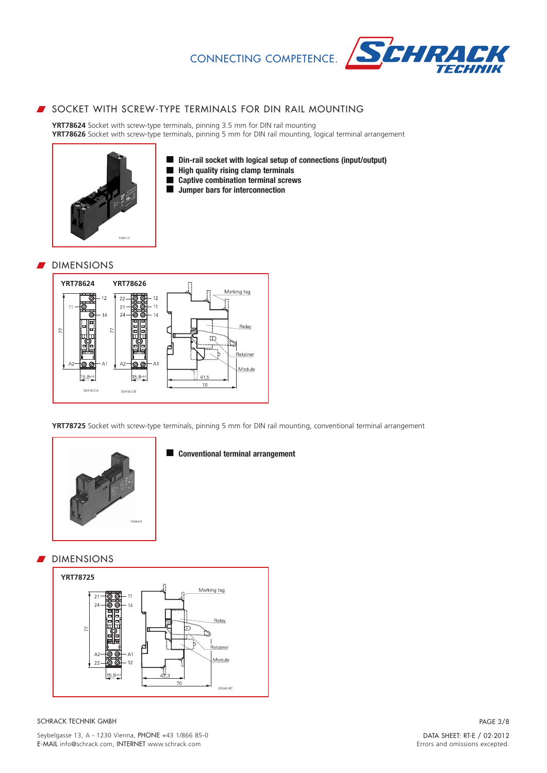**Din-rail socket with logical setup of connections (input/output)**



# SOCKET WITH SCREW-TYPE TERMINALS FOR DIN RAIL MOUNTING

 $\blacksquare$  $\blacksquare$  $\blacksquare$  $\blacksquare$ 

**YRT78624** Socket with screw-type terminals, pinning 3.5 mm for DIN rail mounting **YRT78626** Socket with screw-type terminals, pinning 5 mm for DIN rail mounting, logical terminal arrangement

> **High quality rising clamp terminals Captive combination terminal screws Jumper bars for interconnection**



#### **DIMENSIONS**



**YRT78725** Socket with screw-type terminals, pinning 5 mm for DIN rail mounting, conventional terminal arrangement



#### **Conventional terminal arrangement**

#### DIMENSIONS

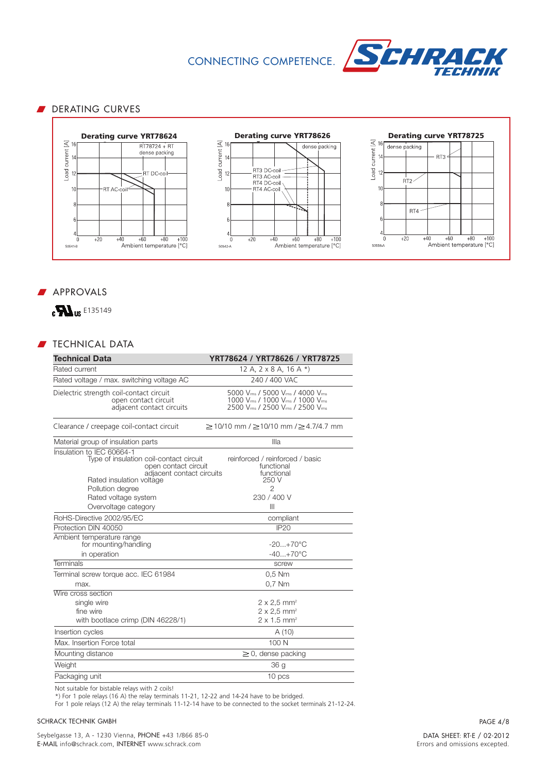

# DERATING CURVES







# **APPROVALS**



# $\blacksquare$  TECHNICAL DATA

| <b>Technical Data</b>                                                                                                                                                                                                     | YRT78624 / YRT78626 / YRT78725                                                                             |
|---------------------------------------------------------------------------------------------------------------------------------------------------------------------------------------------------------------------------|------------------------------------------------------------------------------------------------------------|
| Rated current                                                                                                                                                                                                             | 12 A, $2 \times 8$ A, 16 A $*$ )                                                                           |
| Rated voltage / max. switching voltage AC                                                                                                                                                                                 | 240 / 400 VAC                                                                                              |
| Dielectric strength coil-contact circuit<br>open contact circuit<br>adjacent contact circuits                                                                                                                             | 5000 Vms / 5000 Vms / 4000 Vms<br>1000 Vms / 1000 Vms / 1000 Vms<br>2500 Vms / 2500 Vms / 2500 Vms         |
| Clearance / creepage coil-contact circuit                                                                                                                                                                                 | $\geq$ 10/10 mm / $\geq$ 10/10 mm / $\geq$ 4.7/4.7 mm                                                      |
| Material group of insulation parts                                                                                                                                                                                        | Illa                                                                                                       |
| Insulation to IEC 60664-1<br>Type of insulation coil-contact circuit<br>open contact circuit<br>adjacent contact circuits<br>Rated insulation voltage<br>Pollution degree<br>Rated voltage system<br>Overvoltage category | reinforced / reinforced / basic<br>functional<br>functional<br>250 V<br>$\overline{2}$<br>230 / 400 V<br>Ш |
| RoHS-Directive 2002/95/EC                                                                                                                                                                                                 | compliant                                                                                                  |
| Protection DIN 40050                                                                                                                                                                                                      | <b>IP20</b>                                                                                                |
| Ambient temperature range<br>for mounting/handling<br>in operation                                                                                                                                                        | $-20+70^{\circ}$ C<br>$-40+70^{\circ}C$                                                                    |
| Terminals                                                                                                                                                                                                                 | screw                                                                                                      |
| Terminal screw torque acc. IEC 61984<br>max.                                                                                                                                                                              | $0.5$ Nm<br>0,7 Nm                                                                                         |
| Wire cross section<br>single wire<br>fine wire<br>with bootlace crimp (DIN 46228/1)                                                                                                                                       | $2 \times 2,5$ mm <sup>2</sup><br>$2 \times 2.5$ mm <sup>2</sup><br>$2 \times 1.5$ mm <sup>2</sup>         |
| Insertion cycles                                                                                                                                                                                                          | A(10)                                                                                                      |
| Max. Insertion Force total                                                                                                                                                                                                | 100 N                                                                                                      |
| Mounting distance                                                                                                                                                                                                         | $\geq$ 0, dense packing                                                                                    |
| Weight                                                                                                                                                                                                                    | 36 <sub>g</sub>                                                                                            |
| Packaging unit                                                                                                                                                                                                            | 10 pcs                                                                                                     |

Not suitable for bistable relays with 2 coils!

\*) For 1 pole relays (16 A) the relay terminals 11-21, 12-22 and 14-24 have to be bridged.

For 1 pole relays (12 A) the relay terminals 11-12-14 have to be connected to the socket terminals 21-12-24.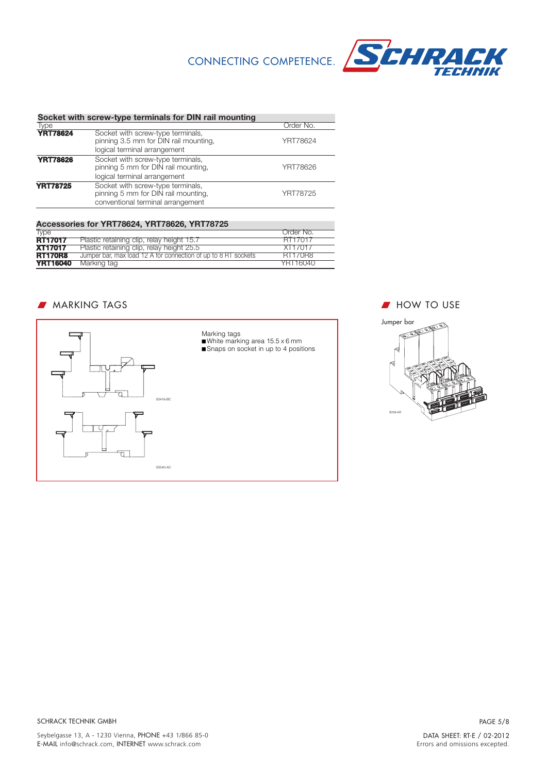

| Socket with screw-type terminals for DIN rail mounting |                                                                                                               |           |  |
|--------------------------------------------------------|---------------------------------------------------------------------------------------------------------------|-----------|--|
| Type                                                   |                                                                                                               | Order No. |  |
| <b>YRT78624</b>                                        | Socket with screw-type terminals,<br>pinning 3.5 mm for DIN rail mounting,<br>logical terminal arrangement    | YRT78624  |  |
| <b>YRT78626</b>                                        | Socket with screw-type terminals,<br>pinning 5 mm for DIN rail mounting,<br>logical terminal arrangement      | YRT78626  |  |
| <b>YRT78725</b>                                        | Socket with screw-type terminals,<br>pinning 5 mm for DIN rail mounting,<br>conventional terminal arrangement | YRT78725  |  |

| Accessories for YRT78624, YRT78626, YRT78725 |                                                                |           |  |
|----------------------------------------------|----------------------------------------------------------------|-----------|--|
| <b>Type</b>                                  |                                                                | Order No. |  |
| <b>RT17017</b>                               | Plastic retaining clip, relay height 15.7                      | RT17017   |  |
| <b>XT17017</b>                               | Plastic retaining clip, relay height 25.5                      | XT17017   |  |
| <b>RT170R8</b>                               | Jumper bar, max load 12 A for connection of up to 8 RT sockets | BT170B8   |  |
| <b>YRT16040</b>                              | Marking tag                                                    | YRT16040  |  |

# **MARKING TAGS WEIGHT A MARKING TAGS**



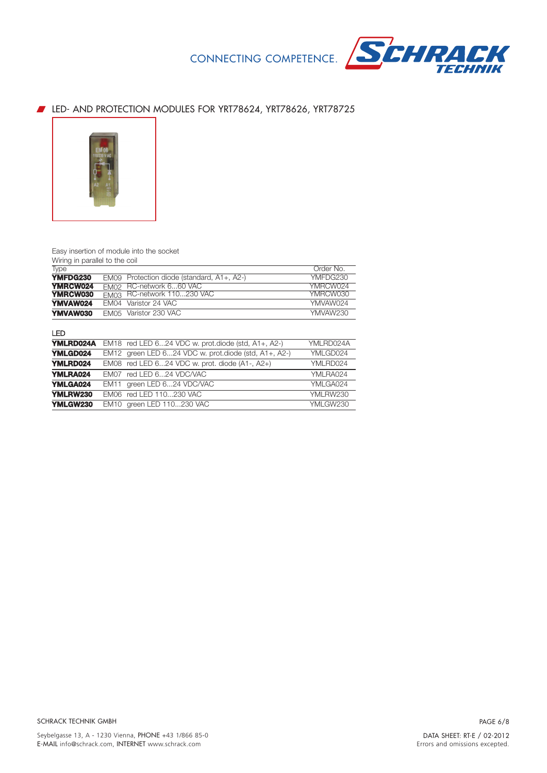

# **EXECT:** LED- AND PROTECTION MODULES FOR YRT78624, YRT78626, YRT78725



#### Easy insertion of module into the socket

Wiring in parallel to the coil

| Type             |                  |                                                       | Order No. |
|------------------|------------------|-------------------------------------------------------|-----------|
| YMFDG230         | <b>EM09</b>      | Protection diode (standard, A1+, A2-)                 | YMFDG230  |
| <b>YMRCW024</b>  | <b>EM02</b>      | RC-network 660 VAC                                    | YMRCW024  |
| <b>YMRCW030</b>  | EM <sub>03</sub> | RC-network 110230 VAC                                 | YMRCW030  |
| <b>YMVAW024</b>  | EM <sub>04</sub> | Varistor 24 VAC                                       | YMVAW024  |
| YMVAW030         | <b>EM05</b>      | Varistor 230 VAC                                      | YMVAW230  |
| LED              |                  |                                                       |           |
| <b>YMLRD024A</b> | EM <sub>18</sub> | red LED $624$ VDC w. prot.diode (std, $A1+$ , $A2-$ ) | YMLRD024A |
| <b>YMLGD024</b>  | <b>EM12</b>      | green LED 624 VDC w. prot.diode (std, A1+, A2-)       | YMLGD024  |
| <b>YMLRD024</b>  | EM08             | red LED 624 VDC w. prot. diode (A1-, A2+)             | YMLRD024  |
| <b>YMLRA024</b>  | EM <sub>07</sub> | red LED 624 VDC/VAC                                   | YMLRA024  |
| <b>YMLGA024</b>  | <b>EM11</b>      | green LED 624 VDC/VAC                                 | YMLGA024  |
| <b>YMLRW230</b>  | EM <sub>06</sub> | red LED 110230 VAC                                    | YMLRW230  |
| <b>YMLGW230</b>  | EM <sub>10</sub> | green LED 110230 VAC                                  | YMLGW230  |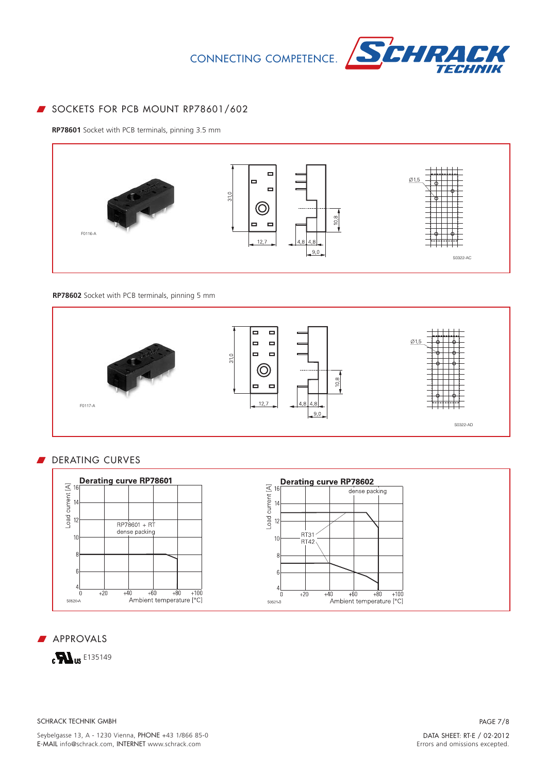

# SOCKETS FOR PCB MOUNT RP78601/602

**RP78601** Socket with PCB terminals, pinning 3.5 mm



#### **RP78602** Socket with PCB terminals, pinning 5 mm



# DERATING CURVES



#### **APPROVALS**